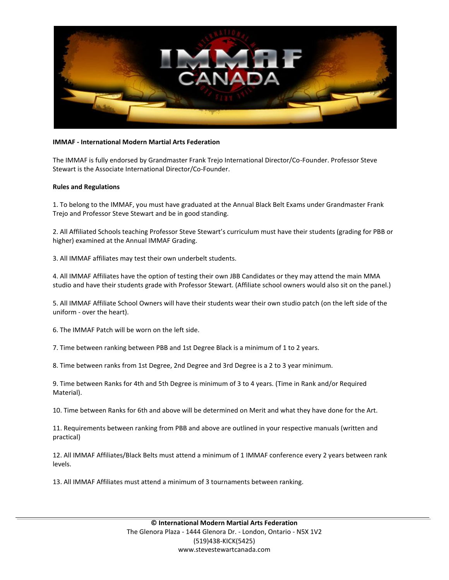

## **IMMAF - International Modern Martial Arts Federation**

The IMMAF is fully endorsed by Grandmaster Frank Trejo International Director/Co-Founder. Professor Steve Stewart is the Associate International Director/Co-Founder.

## **Rules and Regulations**

1. To belong to the IMMAF, you must have graduated at the Annual Black Belt Exams under Grandmaster Frank Trejo and Professor Steve Stewart and be in good standing.

2. All Affiliated Schools teaching Professor Steve Stewart's curriculum must have their students (grading for PBB or higher) examined at the Annual IMMAF Grading.

3. All IMMAF affiliates may test their own underbelt students.

4. All IMMAF Affiliates have the option of testing their own JBB Candidates or they may attend the main MMA studio and have their students grade with Professor Stewart. (Affiliate school owners would also sit on the panel.)

5. All IMMAF Affiliate School Owners will have their students wear their own studio patch (on the left side of the uniform - over the heart).

6. The IMMAF Patch will be worn on the left side.

7. Time between ranking between PBB and 1st Degree Black is a minimum of 1 to 2 years.

8. Time between ranks from 1st Degree, 2nd Degree and 3rd Degree is a 2 to 3 year minimum.

9. Time between Ranks for 4th and 5th Degree is minimum of 3 to 4 years. (Time in Rank and/or Required Material).

10. Time between Ranks for 6th and above will be determined on Merit and what they have done for the Art.

11. Requirements between ranking from PBB and above are outlined in your respective manuals (written and practical)

12. All IMMAF Affiliates/Black Belts must attend a minimum of 1 IMMAF conference every 2 years between rank levels.

13. All IMMAF Affiliates must attend a minimum of 3 tournaments between ranking.